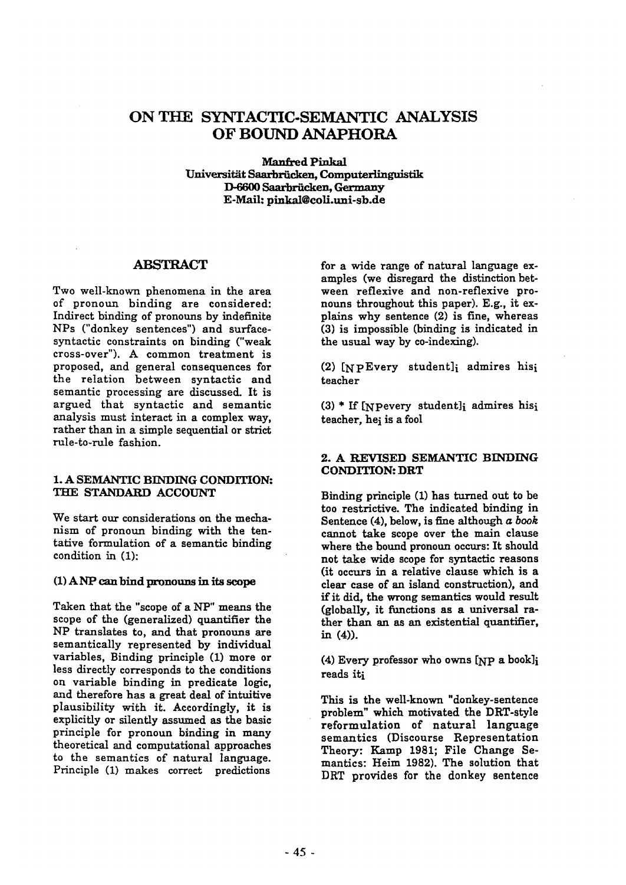# **ON THE SYNTACTIC-SEMANTIC ANALYSIS OF BOUND ANAPHORA**

**Manfred Pinkal** Universität Saarbrücken, Computerlinguistik D-6600 Saarbrücken, Germany E-Mail: pinkal@coli.uni-sb.de

## **ABSTRACT**

Two well-known phenomena in the area of pronoun binding are considered: Indirect binding of pronouns by indefinite NPs ("donkey sentences") and surfacesyntactic constraints on binding ("weak cross-over"). A common treatment is proposed, and general consequences for the relation between syntactic and semantic processing are discussed. It is argued that syntactic and semantic analysis must interact in a complex way, rather than in a simple sequential or strict rule-to-rule fashion.

### 1. A SEMANTIC BINDING CONDITION: THE STANDARD ACCOUNT

We start our considerations on the mechanism of pronoun binding with the tentative formulation of a semantic binding condition in (I):

## (I) ANP can bind pronouns in its scope

Taken that the "scope of a NP" means the scope of the (generalized) quantifier the NP translates to, and that pronouns are semantically represented by individual variables, Binding principle (1) more or less directly corresponds to the conditions on variable binding in predicate logic, and therefore has a great deal of intuitive plausibility with it. Accordingly, it is explicitly or silently assumed as the basic principle for pronoun binding in many theoretical and computational approaches to the semantics of natural language. Principle (1) makes correct predictions

for a wide range of natural language examples (we disregard the distinction between reflexive and non-reflexive pronouns throughout this paper). E.g., it explains why sentence (2) is fine, whereas (3) is impossible (binding is indicated in the usual way by co-indexing).

(2) [NPEvery student]i admires hisi teacher

(3) \* If [NPevery student]i admires hisi teacher, hei is a fool

## 2. A REVISED SEMANTIC BINDING **CONDITION:** DRT

Binding principle (1) has turned out to be too restrictive. The indicated binding in Sentence (4), below, is fine although *a book*  cannot take scope over the main clause where the bound pronoun occurs: It should not take wide scope for syntactic reasons (it occurs in a relative clause which is a clear case of an island construction), and if it did, the wrong semantics would result (globally, it functions as a universal rather than an as an existential quantifier, in (4)).

(4) Every professor who owns [NP a book]i reads iti

This is the well-known "donkey-sentence problem" which motivated the DRT-style reformulation of natural language semantics (Discourse Representation Theory: Kamp 1981; File Change Semantics: Heim 1982). The solution that DRT provides for the donkey sentence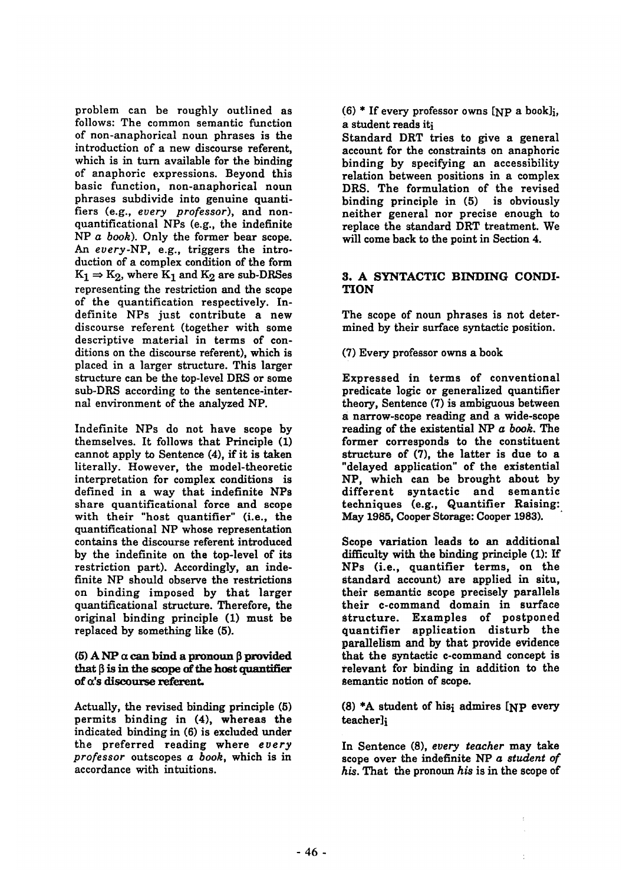problem can be roughly outlined as follows: The common semantic function of non-anaphorical noun phrases is the introduction of a new discourse referent, which is in turn available for the binding of anaphoric expressions. Beyond this basic function, non-anaphorical noun phrases subdivide into genuine quantitiers (e.g., *every professor),* and nonquantificational NPs (e.g., the indefinite NP *a book).* Only the former bear scope. *An every-NP,* e.g., triggers the introduction of a complex condition of the form  $K_1 \Rightarrow K_2$ , where  $K_1$  and  $K_2$  are sub-DRSes representing the restriction and the scope of the quantification respectively. Indefinite NPs just contribute a new discourse referent (together with some descriptive material in terms of conditions on the discourse referent), which is placed in a larger structure. This larger structure can be the top-level DRS or some sub-DRS according to the sentence-internal environment of the analyzed NP.

Indefinite NPs do not have scope by themselves. It follows that Principle (1) cannot apply to Sentence (4), if it is taken literally. However, the model-theoretic interpretation for complex conditions is defined in a way that indefinite NPs share quantificational force and scope with their "host quantifier" (i.e., the quantificational NP whose representation contains the discourse referent introduced by the indefinite on the top-level of its restriction part). Accordingly, an indefinite NP should observe the restrictions on binding imposed by that larger quantificational structure. Therefore, the original binding principle (1) must be replaced by something like (5).

## (5) A NP  $\alpha$  can bind a pronoun  $\beta$  provided that  $\beta$  is in the scope of the host quantifier of a's discourse referent.

Actually, the revised binding principle (5) permits binding in (4), whereas the indicated binding in (6) is excluded under the preferred reading where *every professor* outscopes *a book,* which is in accordance with intuitions.

 $(6)$  \* If every professor owns [NP a book]; a student reads iti

Standard DRT tries to give a general account for the constraints on anaphoric binding by specifying an accessibility relation between positions in a complex DRS. The formulation of the revised binding principle in (5) is obviously neither general nor precise enough to replace the standard DRT treatment. We will come back to the point in Section 4.

## 3. A SYNTACTIC BINDING CONDI-**TION**

The scope of noun phrases is not determined by their surface syntactic position.

(7) Every professor owns a book

Expressed in terms of conventional predicate logic or generalized quantifier theory, Sentence (7) is ambiguous between a narrow-scope reading and a wide-scope reading of the existential *NP a book. The*  former corresponds to the constituent structure of (7), the latter is due to a "delayed application" of the existential NP, which can be brought about by different syntactic and semantic techniques (e.g., Quantifier Raising: May 1985, Cooper Storage: Cooper 1983).

Scope variation leads to an additional difficulty with the binding principle (1): If NPs (i.e., quantifier terms, on the standard account) are applied in situ, their semantic scope precisely parallels their c-command domain in surface structure. Examples of postponed quantifier application disturb the parallelism and by that provide evidence that the syntactic c-command concept is relevant for binding in addition to the semantic notion of scope.

(8) \*A student of hisi admires [NP every teacher]i

In Sentence (8), *every teacher* may take scope over the indefinite *NP a student of*  his. That the pronoun his is in the scope of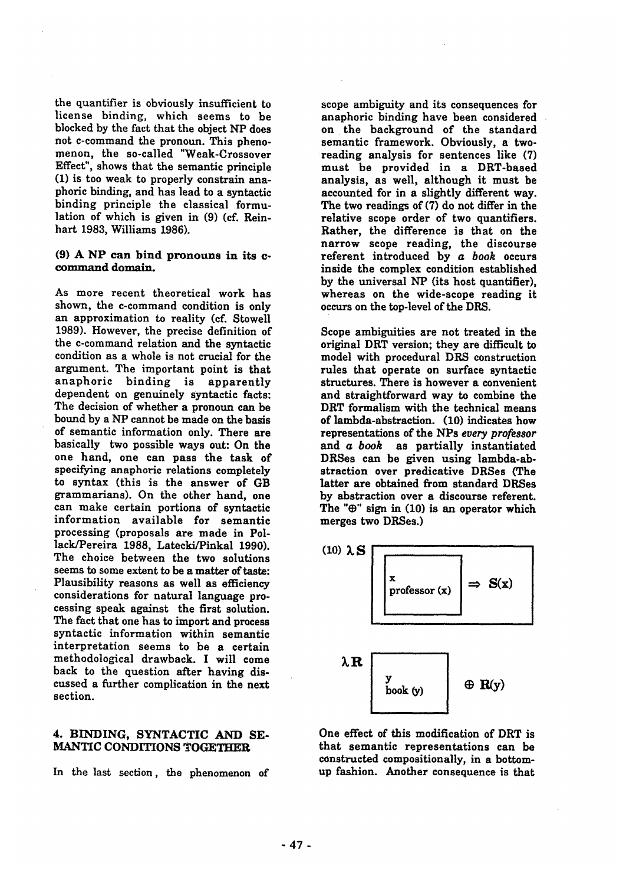the quantifier is obviously insufficient to license binding, which seems to be blocked by the fact that the object NP does not c-command the pronoun. This phenomenon, the so-called "Weak-Crossover Effect", shows that the semantic principle (1) is too weak to properly constrain anaphoric binding, and has lead to a syntactic binding principle the classical formulation of which is given in (9) (cf. Reinhart 1983, Williams 1986).

#### **(9) A NP can bind pronouns in its c**command domain.

As more recent theoretical work has shown, the c-command condition is only an approximation to reality (cf. Stowell 1989). However, the precise definition of the c-command relation and the syntactic condition as a whole is not crucial for the argument. The important point is that anaphoric binding is apparently dependent on genuinely syntactic facts: The decision of whether a pronoun can be bound by a NP cannot be made on the basis of semantic information only. There are basically two possible ways out: On the one hand, one can pass the task of specifying anaphoric relations completely to syntax (this is the answer of GB grammarians). On the other hand, one can make certain portions of syntactic information available for semantic processing (proposals are made in Pollack/Pereira 1988, Latecki/Pinkal 1990). The choice between the two solutions seems to some extent to be a matter of taste: Plausibility reasons as well as efficiency considerations for natural language processing speak against the first solution. The fact that one has to import and process syntactic information within semantic interpretation seems to be a certain methodological drawback. I will come back to the question after having discussed a further complication in the next section.

#### 4. BINDING, SYNTACTIC AND SE-MANTIC CONDITIONS TOGETHER

In the last section, the phenomenon of

scope ambiguity and its consequences for anaphoric binding have been considered on the background of the standard semantic framework. Obviously, a tworeading analysis for sentences like (7) must be provided in a DRT-based analysis, as well, although it must be accounted for in a slightly different way. The two readings of (7) do not differ in the relative scope order of two quantifiers. Rather, the difference is that on the narrow scope reading, the discourse referent introduced by *a book* occurs inside the complex condition established by the universal NP (its host quantifier), whereas on the wide-scope reading it occurs on the top-level of the DRS.

Scope ambiguities are not treated in the original DRT version; they are difficult to model with procedural DRS construction rules that operate on surface syntactic structures. There is however a convenient and straightforward way to combine the DRT formalism with the technical means of lambda-abstraction. (10) indicates how representations of the NPs *every professor*  and *a book* as partially instantiated DRSes can be given using lambda-abstraction over predicative DRSes (The latter are obtained from standard DRSes by abstraction over a discourse referent. The " $\oplus$ " sign in (10) is an operator which merges two DRSes.)



One effect of this modification of DRT is that semantic representations can be constructed compositionally, in a bottomup fashion. Another consequence is that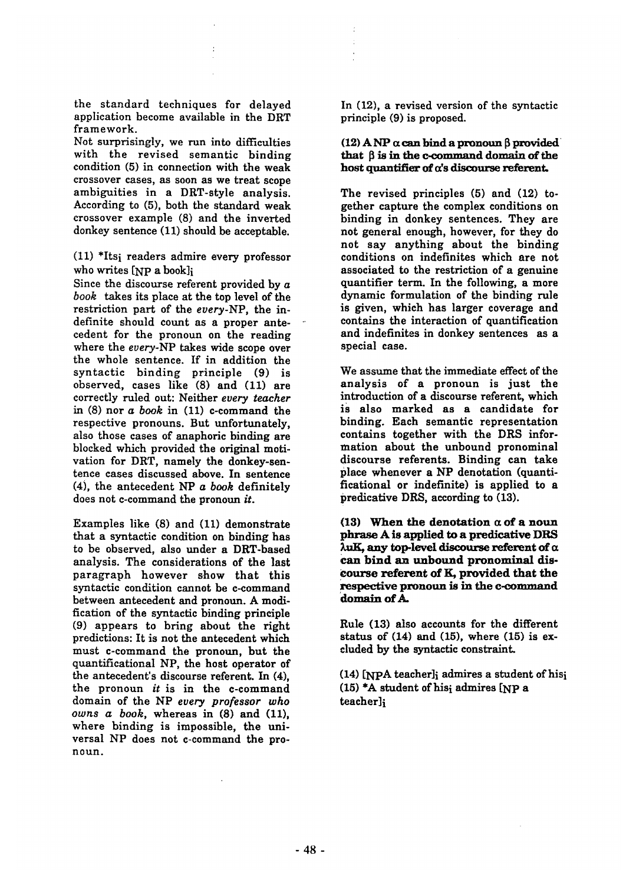the standard techniques for delayed application become available in the DRT framework.

Not surprisingly, we run into difficulties with the revised semantic binding condition (5) in connection with the weak crossover cases, as soon as we treat scope ambiguities in a DRT-style analysis. According to (5), both the standard weak crossover example (8) and the inverted donkey sentence (11) should be acceptable.

(11) \*Itsi readers admire every professor who writes [NP a book]i

Since the discourse referent provided by  $a$ *book* takes its place at the top level of the restriction part of the *every-NP,* the indefinite should count as a proper antecedent for the pronoun on the reading where the *every-NP* takes wide scope over the whole sentence. If in addition the syntactic binding principle (9) is observed, cases like (8) and (11) are correctly ruled out: Neither *every teacher*  in (8) nor *a book* in (11) c-command the respective pronouns. But unfortunately, also those cases of anaphoric binding are blocked which provided the original motivation for DRT, namely the donkey-sentence cases discussed above. In sentence (4), the antecedent *NP a book* definitely does not c-command the pronoun *it.* 

Examples like (8) and (11) demonstrate that a syntactic condition on binding has to be observed, also under a DRT-based analysis. The considerations of the last paragraph however show that this syntactic condition cannot be c-command between antecedent and pronoun. A modification of the syntactic binding principle (9) appears to bring about the right predictions: It is not the antecedent which must c-command the pronoun, but the quantificational NP, the host operator of the antecedent's discourse referent. In (4), the pronoun *it* is in the c-command domain of the NP *every professor who owns a book,* whereas in (8) and (11), where binding is impossible, the universal NP does not c-command the pronoun.

In (12), a revised version of the syntactic principle (9) is proposed.

#### (12) A NP  $\alpha$  can bind a pronoun  $\beta$  provided that  $\beta$  is in the c-command domain of the host quantifier of  $\alpha$ 's discourse referent.

The revised principles (5) and (12) together capture the complex conditions on binding in donkey sentences. They are not general enough, however, for they do not say anything about the binding conditions on indefinites which are not associated to the restriction of a genuine quantifier term. In the following, a more dynamic formulation of the binding rule is given, which has larger coverage and contains the interaction of quantification and indefinites in donkey sentences as a special case.

We assume that the immediate effect of the analysis of a pronoun is just the introduction of a discourse referent, which is also marked as a candidate for binding. Each semantic representation contains together with the DRS information about the unbound pronominal discourse referents. Binding can take place whenever a NP denotation (quantificational or indefinite) is applied to a predicative DRS, according to (13).

**(13) When the denotation a of a noun**  phrase A is applied to a predicative DRS  $\lambda$ uK, any top-level discourse referent of  $\alpha$ can bind an unbound pronominal **dis-Course referent of** K, provided that **the**  respective pronoun is in the c-command **domain of A.** 

Rule (13) also accounts for the different status of  $(14)$  and  $(15)$ , where  $(15)$  is excluded by the syntactic constraint.

**(14)** [NPA teacher]i admires a student ofhisi  $(15)$  \*A student of hisi admires [NP a teacher]i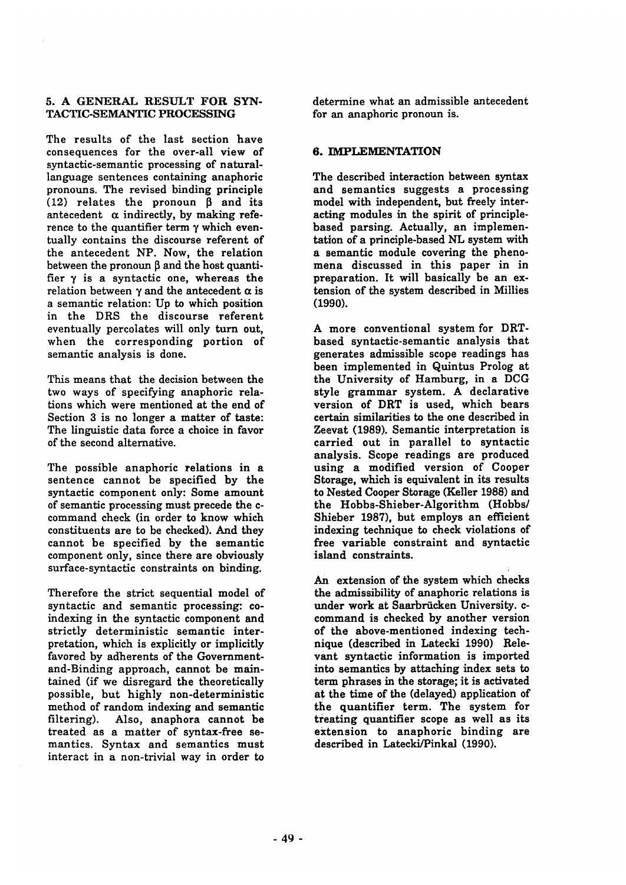### 5. A GENERAL RESULT FOR SYN-TACTIC-SEMANTIC PROCESSING

The results of the last section have consequences for the over-all view of syntactic-semantic processing of naturallanguage sentences containing anaphoric pronouns. The revised binding principle (12) relates the pronoun  $\beta$  and its antecedent  $\alpha$  indirectly, by making reference to the quantifier term  $\gamma$  which eventually contains the discourse referent of the antecedent NP. Now, the relation between the pronoun  $\beta$  and the host quantifier  $\gamma$  is a syntactic one, whereas the relation between  $\gamma$  and the antecedent  $\alpha$  is a semantic relation: Up to which position in the DRS the discourse referent eventually percolates will only turn out, when the corresponding portion of semantic analysis is done.

This means that the decision between the two ways of specifying anaphoric relations which were mentioned at the end of Section 3 is no longer a matter of taste: The linguistic data force a choice in favor of the second alternative.

The possible anaphoric relations in a sentence cannot be specified by the syntactic component only: Some amount of semantic processing must precede the ccommand check (in order to know which constituents are to be checked). And they cannot be specified by the semantic component only, since there are obviously surface-syntactic constraints on binding.

Therefore the strict sequential model of syntactic and semantic processing: coindexing in the syntactic component and strictly deterministic semantic interpretation, which is explicitly or implicitly favored by adherents of the Governmentand-Binding approach, cannot be maintained (if we disregard the theoretically possible, but highly non-deterministic method of random indexing and semantic filtering). Also, anaphora cannot be treated as a matter of syntax-free semantics. Syntax and semantics must interact in a non-trivial way in order to

determine what an admissible antecedent for an anaphoric pronoun is.

## 6. IMPLEMENTATION

The described interaction between syntax and semantics suggests a processing model with independent, but freely interacting modules in the spirit of principlebased parsing. Actually, an implementation of a principle-based NL system with a semantic module covering the phenomena discussed in this paper in in preparation. It will basically be an extension of the system described in Millies (1990).

**A** more conventional system for DRTbased syntactic-semantic analysis that generates admissible scope readings has been implemented in Quintus Prolog at the University of Hamburg, in a DCG style grammar system. A declarative version of DRT is used, which bears certain similarities to the one described in Zeevat (1989). Semantic interpretation is carried out in parallel to syntactic analysis. Scope readings are produced using a modified version of Cooper Storage, which is equivalent in its results to Nested Cooper Storage (Keller 1988) and the Hobbs-Shieber-Algorithm (Hobbs/ Shieber 1987), but employs an efficient indexing technique to check violations of free variable constraint and syntactic island constraints.

An extension of the system which checks the admissibility of anaphoric relations is under work at Saarbriicken University. ccommand is checked by another version of the above-mentioned indexing technique (described in Latecki 1990) Relevant syntactic information is imported into semantics by attaching index sets to term phrases in the storage; it is activated at the time of the (delayed) application of the quantifier term. The system for treating quantifier scope as well as its extension to anaphoric binding are described in Latecki/Pinkal (1990).